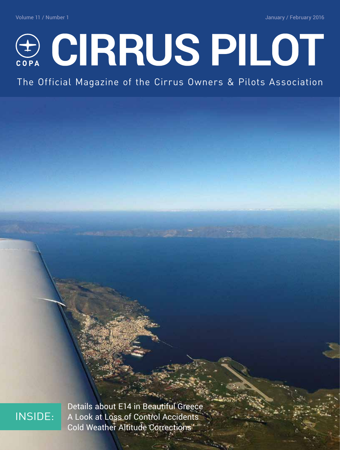Volume 11 / Number 1 January / February 2016



The Official Magazine of the Cirrus Owners & Pilots Association

## INSIDE:

Details about E14 in Beautiful Greece A Look at Loss of Control Accidents Cold Weather Altitude Corrections

Volume 11, Number 1 **CIRRUS PILOT** ■ 1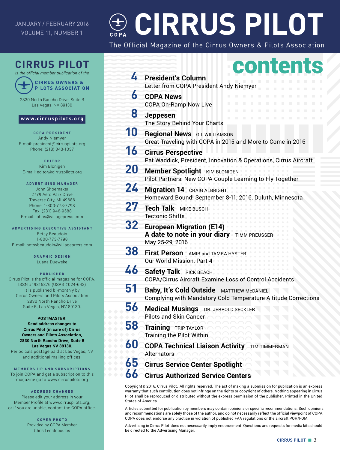#### JANUARY / FEBRUARY 2016 VOLUME 11, NUMBER 1

# **CIRRUS PILOT**

The Official Magazine of the Cirrus Owners & Pilots Association

### **CIRRUS PILOT**



*is the official member publication of the* **CIRRUS OWNERS &** 

2830 North Rancho Drive, Suite B

Las Vegas, NV 89130

#### **www.cirruspilots.org**

**COPA PRESIDENT** Andy Niemyer E-mail: president@cirruspilots.org Phone: (218) 343-1037

**EDITOR** Kim Blonigen E-mail: editor@cirruspilots.org

**ADVERTISING MANAGER** John Shoemaker 2779 Aero Park Drive Traverse City, MI 49686 Phone: 1-800-773-7798 Fax: (231) 946-9588 E-mail: johns@villagepress.com

**ADVERTISING EXECUTIVE ASSISTANT** Betsy Beaudoin 1-800-773-7798 E-mail: betsybeaudoin@villagepress.com

> **GRAPHIC DESIGN** Luana Dueweke

#### **PUBLISHER**

Cirrus Pilot is the official magazine for COPA. ISSN #19315376 (USPS #024-643) It is published bi-monthly by Cirrus Owners and Pilots Association 2830 North Rancho Drive Suite B, Las Vegas, NV 89130.

#### **POSTMASTER:**

**Send address changes to Cirrus Pilot (in care of) Cirrus Owners and Pilots Association, 2830 North Rancho Drive, Suite B Las Vegas NV 89130.**

Periodicals postage paid at Las Vegas, NV and additional mailing offices.

**MEMBERSHIP AND SUBSCRIPTIONS** To join COPA and get a subscription to this magazine go to www.cirruspilots.org

#### **ADDRESS CHANGES**

Please edit your address in your Member Profile at www.cirruspilots.org, or if you are unable, contact the COPA office.

> **COVER PHOTO** Provided by COPA Member Chris Leontopoulos

|                                                                                                                                                                                                                                                                                                                                                                                                                            | contents                                                                                                                                                                     |
|----------------------------------------------------------------------------------------------------------------------------------------------------------------------------------------------------------------------------------------------------------------------------------------------------------------------------------------------------------------------------------------------------------------------------|------------------------------------------------------------------------------------------------------------------------------------------------------------------------------|
| 4                                                                                                                                                                                                                                                                                                                                                                                                                          | <b>President's Column</b><br>Letter from COPA President Andy Niemyer                                                                                                         |
| 6                                                                                                                                                                                                                                                                                                                                                                                                                          | П<br>П<br>П<br>П<br><b>COPA News</b><br>п<br>ш<br>п<br>ш<br>п<br>m.<br>п<br>п<br>ш<br>п<br>ш<br>п<br>a a<br>ш<br>m.<br><b>COPA On-Ramp Now Live</b><br>w<br>m<br>u<br>w<br>w |
| 8                                                                                                                                                                                                                                                                                                                                                                                                                          | П<br>ш<br>ш<br>п<br>a a<br>п<br>a a<br>п<br>m.<br>п<br>w<br>w<br>ш<br><b>Jeppesen</b><br>п<br>п<br>п<br>п<br>П<br>п<br>П<br>П<br>П<br>The Story Behind Your Charts           |
| 10                                                                                                                                                                                                                                                                                                                                                                                                                         | <b>Regional News</b> GIL WILLIAMSON<br>Great Traveling with COPA in 2015 and More to Come in 2016                                                                            |
| 16                                                                                                                                                                                                                                                                                                                                                                                                                         | <b>Cirrus Perspective</b><br>Pat Waddick, President, Innovation & Operations, Cirrus Aircraft                                                                                |
| 20                                                                                                                                                                                                                                                                                                                                                                                                                         | <b>Member Spotlight KIM BLONIGEN</b><br>Pilot Partners: New COPA Couple Learning to Fly Together                                                                             |
| 24                                                                                                                                                                                                                                                                                                                                                                                                                         | <b>Migration 14</b> CRAIG ALBRIGHT<br>Homeward Bound! September 8-11, 2016, Duluth, Minnesota                                                                                |
| 27                                                                                                                                                                                                                                                                                                                                                                                                                         | Tech Talk MIKE BUSCH<br><b>Tectonic Shifts</b>                                                                                                                               |
| 32                                                                                                                                                                                                                                                                                                                                                                                                                         | <b>European Migration (E14)</b><br>A date to note in your diary TIMM PREUSSER<br>May 25-29, 2016                                                                             |
| 38                                                                                                                                                                                                                                                                                                                                                                                                                         | First Person AMIR and TAMRA HYSTER<br>Our World Mission, Part 4                                                                                                              |
| 46                                                                                                                                                                                                                                                                                                                                                                                                                         | <b>Safety Talk</b> RICK BEACH<br>COPA/Cirrus Aircraft Examine Loss of Control Accidents                                                                                      |
| 51                                                                                                                                                                                                                                                                                                                                                                                                                         | <b>Baby, It's Cold Outside MATTHEW MCDANIEL</b><br>Complying with Mandatory Cold Temperature Altitude Corrections                                                            |
| 56                                                                                                                                                                                                                                                                                                                                                                                                                         | <b>Medical Musings</b> DR. JERROLD SECKLER<br><b>Pilots and Skin Cancer</b>                                                                                                  |
| 58                                                                                                                                                                                                                                                                                                                                                                                                                         | <b>Training</b><br>TRIP TAYLOR<br><b>Training the Pilot Within</b>                                                                                                           |
| 60                                                                                                                                                                                                                                                                                                                                                                                                                         | <b>COPA Technical Liaison Activity</b><br><b>TIM TIMMERMAN</b><br><b>Alternators</b>                                                                                         |
| 65<br>66                                                                                                                                                                                                                                                                                                                                                                                                                   | <b>Cirrus Service Center Spotlight</b>                                                                                                                                       |
| <b>Cirrus Authorized Service Centers</b><br>Copyright© 2016, Cirrus Pilot. All rights reserved. The act of making a submission for publication is an express<br>warranty that such contribution does not infringe on the rights or copyright of others. Nothing appearing inCirrus<br>Pilot shall be reproduced or distributed without the express permission of the publisher. Printed in the United<br>States of America |                                                                                                                                                                              |

Articles submitted for publication by members may contain opinions or specific recommendations. Such opinions and recommendations are solely those of the author, and do not necessarily reflect the official viewpoint of COPA. COPA does not endorse any practice in violation of published FAA regulations or the aircraft POH/FOM.

Advertising in Cirrus Pilot does not necessarily imply endorsement. Questions and requests for media kits should be directed to the Advertising Manager.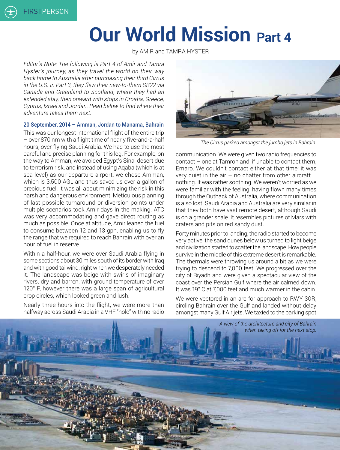# **Our World Mission Part 4**

by AMIR and TAMRA HYSTER

*Editor's Note: The following is Part 4 of Amir and Tamra Hyster's journey, as they travel the world on their way back home to Australia after purchasing their third Cirrus in the U.S. In Part 3, they flew their new-to-them SR22 via Canada and Greenland to Scotland, where they had an extended stay, then onward with stops in Croatia, Greece, Cyprus, Israel and Jordan. Read below to find where their adventure takes them next.*

#### 20 September, 2014 – Amman, Jordan to Manama, Bahrain

This was our longest international flight of the entire trip – over 870 nm with a flight time of nearly five-and-a-half hours, over-flying Saudi Arabia. We had to use the most careful and precise planning for this leg. For example, on the way to Amman, we avoided Egypt's Sinai desert due to terrorism risk, and instead of using Aqaba (which is at sea level) as our departure airport, we chose Amman, which is 3,500 AGL and thus saved us over a gallon of precious fuel. It was all about minimizing the risk in this harsh and dangerous environment. Meticulous planning of last possible turnaround or diversion points under multiple scenarios took Amir days in the making. ATC was very accommodating and gave direct routing as much as possible. Once at altitude, Amir leaned the fuel to consume between 12 and 13 gph, enabling us to fly the range that we required to reach Bahrain with over an hour of fuel in reserve.

Within a half-hour, we were over Saudi Arabia flying in some sections about 30 miles south of its border with Iraq and with good tailwind, right when we desperately needed it. The landscape was beige with swirls of imaginary rivers, dry and barren, with ground temperature of over 120° F, however there was a large span of agricultural crop circles, which looked green and lush.

Nearly three hours into the flight, we were more than halfway across Saudi Arabia in a VHF "hole" with no radio



*The Cirrus parked amongst the jumbo jets in Bahrain.*

communication. We were given two radio frequencies to contact – one at Tamron and, if unable to contact them, Emaro. We couldn't contact either at that time; it was very quiet in the air  $-$  no chatter from other aircraft ... nothing. It was rather soothing. We weren't worried as we were familiar with the feeling, having flown many times through the Outback of Australia, where communication is also lost. Saudi Arabia and Australia are very similar in that they both have vast remote desert, although Saudi is on a grander scale. It resembles pictures of Mars with craters and pits on red sandy dust.

Forty minutes prior to landing, the radio started to become very active, the sand dunes below us turned to light beige and civilization started to scatter the landscape. How people survive in the middle of this extreme desert is remarkable. The thermals were throwing us around a bit as we were trying to descend to 7,000 feet. We progressed over the city of Riyadh and were given a spectacular view of the coast over the Persian Gulf where the air calmed down. It was 19° C at 7,000 feet and much warmer in the cabin.

We were vectored in an arc for approach to RWY 30R, circling Bahrain over the Gulf and landed without delay amongst many Gulf Air jets. We taxied to the parking spot

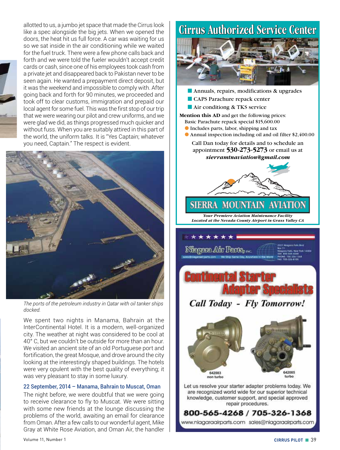allotted to us, a jumbo jet space that made the Cirrus look like a spec alongside the big jets. When we opened the doors, the heat hit us full force. A car was waiting for us so we sat inside in the air conditioning while we waited for the fuel truck. There were a few phone calls back and forth and we were told the fueler wouldn't accept credit cards or cash, since one of his employees took cash from a private jet and disappeared back to Pakistan never to be seen again. He wanted a prepayment direct deposit, but it was the weekend and impossible to comply with. After going back and forth for 90 minutes, we proceeded and took off to clear customs, immigration and prepaid our local agent for some fuel. This was the first stop of our trip that we were wearing our pilot and crew uniforms, and we were glad we did, as things progressed much quicker and without fuss. When you are suitably attired in this part of the world, the uniform talks. It is "Yes Captain; whatever you need, Captain." The respect is evident.



*The ports of the petroleum industry in Qatar with oil tanker ships docked.*

We spent two nights in Manama, Bahrain at the InterContinental Hotel. It is a modern, well-organized city. The weather at night was considered to be cool at 40° C, but we couldn't be outside for more than an hour. We visited an ancient site of an old Portuguese port and fortification, the great Mosque, and drove around the city looking at the interestingly shaped buildings. The hotels were very opulent with the best quality of everything; it was very pleasant to stay in some luxury.

#### 22 September, 2014 – Manama, Bahrain to Muscat, Oman

The night before, we were doubtful that we were going to receive clearance to fly to Muscat. We were sitting with some new friends at the lounge discussing the problems of the world, awaiting an email for clearance from Oman. After a few calls to our wonderful agent, Mike Gray at White Rose Aviation, and Oman Air, the handler

# **Cirrus Authorized Service Center**



- Annuals, repairs, modifications & upgrades
- CAPS Parachure repack center ■ Air conditiong & TKS service

**Mention this AD** and get the following prices: Basic Parachute repack special \$15,600.00 ● Includes parts, labor, shipping and tax

● Annual inspection including oil and oil filter \$2,400.00

Call Dan today for details and to schedule an appointment **530-273-5273** or email us at *sierramtnaviation@gmail.com*



*Your Premiere Aviation Maintenance Facility Located at the Nevada County Airport in Grass Valley CA*

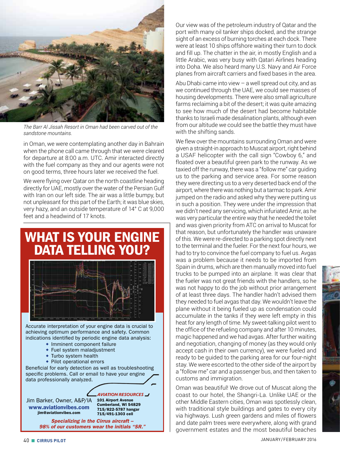

*The Barr Al Jissah Resort in Oman had been carved out of the sandstone mountains.*

in Oman, we were contemplating another day in Bahrain when the phone call came through that we were cleared for departure at 8:00 a.m. UTC. Amir interacted directly with the fuel company as they and our agents were not on good terms, three hours later we received the fuel.

We were flying over Qatar on the north coastline heading directly for UAE, mostly over the water of the Persian Gulf with Iran on our left side. The air was a little bumpy, but not unpleasant for this part of the Earth; it was blue skies, very hazy, and an outside temperature of 14° C at 9,000 feet and a headwind of 17 knots.



Our view was of the petroleum industry of Qatar and the port with many oil tanker ships docked, and the strange sight of an excess of burning torches at each dock. There were at least 10 ships offshore waiting their turn to dock and fill up. The chatter in the air, in mostly English and a little Arabic, was very busy with Qatari Airlines heading into Doha. We also heard many U.S. Navy and Air Force planes from aircraft carriers and fixed bases in the area.

Abu Dhabi came into view – a well spread out city, and as we continued through the UAE, we could see masses of housing developments. There were also small agriculture farms reclaiming a bit of the desert; it was quite amazing to see how much of the desert had become habitable thanks to Israeli made desalination plants, although even from our altitude we could see the battle they must have with the shifting sands.

We flew over the mountains surrounding Oman and were given a straight-in approach to Muscat airport, right behind a USAF helicopter with the call sign "Cowboy 6," and floated over a beautiful green park to the runway. As we taxied off the runway, there was a "follow me" car guiding us to the parking and service area. For some reason they were directing us to a very deserted back end of the airport, where there was nothing but a tarmac to park. Amir jumped on the radio and asked why they were putting us in such a position. They were under the impression that we didn't need any servicing, which infuriated Amir, as he was very particular the entire way that he needed the toilet and was given priority from ATC on arrival to Muscat for that reason, but unfortunately the handler was unaware of this. We were re-directed to a parking spot directly next to the terminal and the fueler. For the next four hours, we had to try to convince the fuel company to fuel us. Avgas was a problem because it needs to be imported from Spain in drums, which are then manually moved into fuel trucks to be pumped into an airplane. It was clear that the fueler was not great friends with the handlers, so he was not happy to do the job without prior arrangement of at least three days. The handler hadn't advised them they needed to fuel avgas that day. We wouldn't leave the plane without it being fueled up as condensation could accumulate in the tanks if they were left empty in this heat for any length of time. My sweet-talking pilot went to the office of the refueling company and after 10 minutes, magic happened and we had avgas. After further waiting and negotiation, changing of money (as they would only accept cash in their own currency), we were fueled and ready to be guided to the parking area for our four-night stay. We were escorted to the other side of the airport by a "follow me" car and a passenger bus, and then taken to customs and immigration.

Oman was beautiful! We drove out of Muscat along the coast to our hotel, the Shangri-La. Unlike UAE or the other Middle Eastern cities, Oman was spotlessly clean, with traditional style buildings and gates to every city via highways. Lush green gardens and miles of flowers and date palm trees were everywhere, along with grand government estates and the most beautiful beaches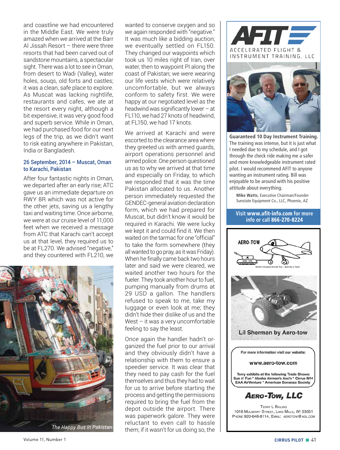and coastline we had encountered in the Middle East. We were truly amazed when we arrived at the Barr Al Jissah Resort – there were three resorts that had been carved out of sandstone mountains, a spectacular sight. There was a lot to see in Oman, from desert to Wadi (Valley), water holes, souqs, old forts and castles; it was a clean, safe place to explore. As Muscat was lacking nightlife, restaurants and cafes, we ate at the resort every night, although a bit expensive, it was very good food and superb service. While in Oman, we had purchased food for our next legs of the trip, as we didn't want to risk eating anywhere in Pakistan, India or Bangladesh.

#### 26 September, 2014 – Muscat, Oman to Karachi, Pakistan

After four fantastic nights in Oman, we departed after an early rise; ATC gave us an immediate departure on RWY 8R which was not active for the other jets, saving us a lengthy taxi and waiting time. Once airborne, we were at our cruise level of 11,000 feet when we received a message from ATC that Karachi can't accept us at that level, they required us to be at FL270. We advised "negative," and they countered with FL210, we



*The Happy Bus in Pakistan.*

wanted to conserve oxygen and so we again responded with "negative." It was much like a bidding auction; we eventually settled on FL150. They changed our waypoints which took us 10 miles right of Iran, over water, then to waypoint PI along the coast of Pakistan; we were wearing our life vests which were relatively uncomfortable, but we always conform to safety first. We were happy at our negotiated level as the headwind was significantly lower  $-$  at FL110, we had 27 knots of headwind, at FL150, we had 17 knots.

We arrived at Karachi and were escorted to the clearance area where they greeted us with armed guards, airport operations personnel and armed police. One person questioned us as to why we arrived at that time and especially on Friday, to which we responded that it was the time Pakistan allocated to us. Another person immediately requested the GENDEC-general aviation declaration form, which we had prepared for Muscat, but didn't know it would be required in Karachi. We were lucky we kept it and could find it. We then waited on the tarmac for one "official" to take the form somewhere (they all wanted to go pray, as it was Friday). When he finally came back two hours later and said we were cleared, we waited another two hours for the fueler. They took another hour to fuel, pumping manually from drums at 29 USD a gallon. The handlers refused to speak to me, take my luggage or even look at me; they didn't hide their dislike of us and the West – it was a very uncomfortable feeling to say the least.

Once again the handler hadn't organized the fuel prior to our arrival and they obviously didn't have a relationship with them to ensure a speedier service. It was clear that they need to pay cash for the fuel themselves and thus they had to wait for us to arrive before starting the process and getting the permissions required to bring the fuel from the depot outside the airport. There was paperwork galore. They were reluctant to even call to hassle them; if it wasn't for us doing so, the





**Guaranteed 10 Day Instrument Training.** The training was intense, but it is just what I needed due to my schedule, and I got through the check ride making me a safer and more knowledgeable instrument rated pilot. I would recommend AFIT to anyone wanting an instrument rating. Bill was enjoyable to be around with his positive attitude about everything.

**Mike Watts**, Executive Chairman/Founder Sunstate Equipment Co., LLC, Phoenix, AZ

#### **Visit** www.afit-info.com **for more info or call** 866-270-8224

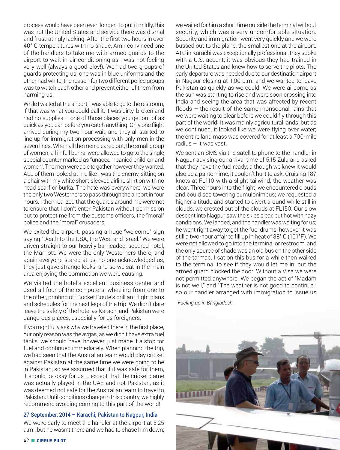process would have been even longer. To put it mildly, this was not the United States and service there was dismal and frustratingly lacking. After the first two hours in over 40° C temperatures with no shade, Amir convinced one of the handlers to take me with armed guards to the airport to wait in air conditioning as I was not feeling very well (always a good ploy!). We had two groups of guards protecting us, one was in blue uniforms and the other had white; the reason for two different police groups was to watch each other and prevent either of them from harming us.

While I waited at the airport, I was able to go to the restroom, if that was what you could call it, it was dirty, broken and had no supplies – one of those places you get out of as quick as you can before you catch anything. Only one flight arrived during my two-hour wait, and they all started to line up for immigration processing with only men in the seven lines. When all the men cleared out, the small group of women, all in full burka, were allowed to go to the single special counter marked as "unaccompanied children and women". The men were able to gather however they wanted. ALL of them looked at me like I was the enemy, sitting on a chair with my white short-sleeved airline shirt on with no head scarf or burka. The hate was everywhere; we were the only two Westerners to pass through the airport in four hours. I then realized that the guards around me were not to ensure that I don't enter Pakistan without permission but to protect me from the customs officers, the "moral" police and the "moral" crusaders.

We exited the airport, passing a huge "welcome" sign saying "Death to the USA, the West and Israel." We were driven straight to our heavily barricaded, secured hotel, the Marriott. We were the only Westerners there, and again everyone stared at us, no one acknowledged us, they just gave strange looks, and so we sat in the main area enjoying the commotion we were causing.

We visited the hotel's excellent business center and used all four of the computers, wheeling from one to the other, printing off Rocket Route's brilliant flight plans and schedules for the next legs of the trip. We didn't dare leave the safety of the hotel as Karachi and Pakistan were dangerous places, especially for us foreigners.

If you rightfully ask why we traveled there in the first place, our only reason was the avgas, as we didn't have extra fuel tanks; we should have, however, just made it a stop for fuel and continued immediately. When planning the trip, we had seen that the Australian team would play cricket against Pakistan at the same time we were going to be in Pakistan, so we assumed that if it was safe for them, it should be okay for us … except that the cricket game was actually played in the UAE and not Pakistan, as it was deemed not safe for the Australian team to travel to Pakistan. Until conditions change in this country, we highly recommend avoiding coming to this part of the world!

#### 27 September, 2014 – Karachi, Pakistan to Nagpur, India

We woke early to meet the handler at the airport at 5:25 a.m., but he wasn't there and we had to chase him down;

42 ■ **CIRRUS PILOT** JANUARY /FEBRUARY 2016

we waited for him a short time outside the terminal without security, which was a very uncomfortable situation. Security and immigration went very quickly and we were bussed out to the plane, the smallest one at the airport. ATC in Karachi was exceptionally professional, they spoke with a U.S. accent; it was obvious they had trained in the United States and knew how to serve the pilots. The early departure was needed due to our destination airport in Nagpur closing at 1:00 p.m. and we wanted to leave Pakistan as quickly as we could. We were airborne as the sun was starting to rise and were soon crossing into India and seeing the area that was affected by recent floods – the result of the same monsoonal rains that we were waiting to clear before we could fly through this part of the world. It was mainly agricultural lands, but as we continued, it looked like we were flying over water; the entire land mass was covered for at least a 700-mile radius – it was vast.

We sent an SMS via the satellite phone to the handler in Nagpur advising our arrival time of 5:15 Zulu and asked that they have the fuel ready; although we knew it would also be a pantomime, it couldn't hurt to ask. Cruising 187 knots at FL110 with a slight tailwind, the weather was clear. Three hours into the flight, we encountered clouds and could see towering cumulonimbus; we requested a higher altitude and started to divert around while still in clouds, we crested out of the clouds at FL150. Our slow descent into Nagpur saw the skies clear, but hot with hazy conditions. We landed, and the handler was waiting for us; he went right away to get the fuel drums, however it was still a two-hour affair to fill up in heat of 38° C (101°F). We were not allowed to go into the terminal or restroom, and the only source of shade was an old bus on the other side of the tarmac. I sat on this bus for a while then walked to the terminal to see if they would let me in, but the armed guard blocked the door. Without a Visa we were not permitted anywhere. We began the act of "Madam is not well," and "The weather is not good to continue," so our handler arranged with immigration to issue us

*Fueling up in Bangladesh.*

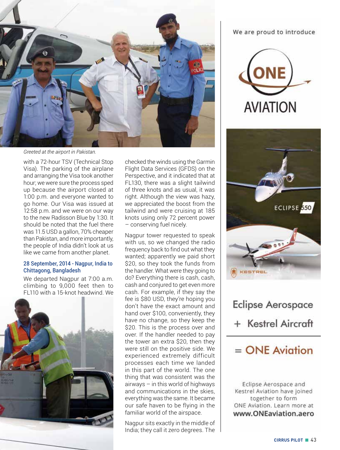

*Greeted at the airport in Pakistan.*

with a 72-hour TSV (Technical Stop Visa). The parking of the airplane and arranging the Visa took another hour; we were sure the process sped up because the airport closed at 1:00 p.m. and everyone wanted to go home. Our Visa was issued at 12:58 p.m. and we were on our way to the new Radisson Blue by 1:30. It should be noted that the fuel there was 11.5 USD a gallon, 70% cheaper than Pakistan, and more importantly, the people of India didn't look at us like we came from another planet.

#### 28 September, 2014 - Nagpur, India to Chittagong, Bangladesh

We departed Nagpur at 7:00 a.m. climbing to 9,000 feet then to FL110 with a 15-knot headwind. We



checked the winds using the Garmin Flight Data Services (GFDS) on the Perspective, and it indicated that at FL130, there was a slight tailwind of three knots and as usual, it was right. Although the view was hazy, we appreciated the boost from the tailwind and were cruising at 185 knots using only 72 percent power – conserving fuel nicely.

Nagpur tower requested to speak with us, so we changed the radio frequency back to find out what they wanted; apparently we paid short \$20, so they took the funds from the handler. What were they going to do? Everything there is cash, cash, cash and conjured to get even more cash. For example, if they say the fee is \$80 USD, they're hoping you don't have the exact amount and hand over \$100, conveniently, they have no change, so they keep the \$20. This is the process over and over. If the handler needed to pay the tower an extra \$20, then they were still on the positive side. We experienced extremely difficult processes each time we landed in this part of the world. The one thing that was consistent was the airways – in this world of highways and communications in the skies, everything was the same. It became our safe haven to be flying in the familiar world of the airspace.

Nagpur sits exactly in the middle of India; they call it zero degrees. The

#### We are proud to introduce





# **Eclipse Aerospace**

+ Kestrel Aircraft

### $=$  ONE Aviation

Eclipse Aerospace and Kestrel Aviation have joined together to form ONE Aviation. Learn more at www.ONEaviation.aero